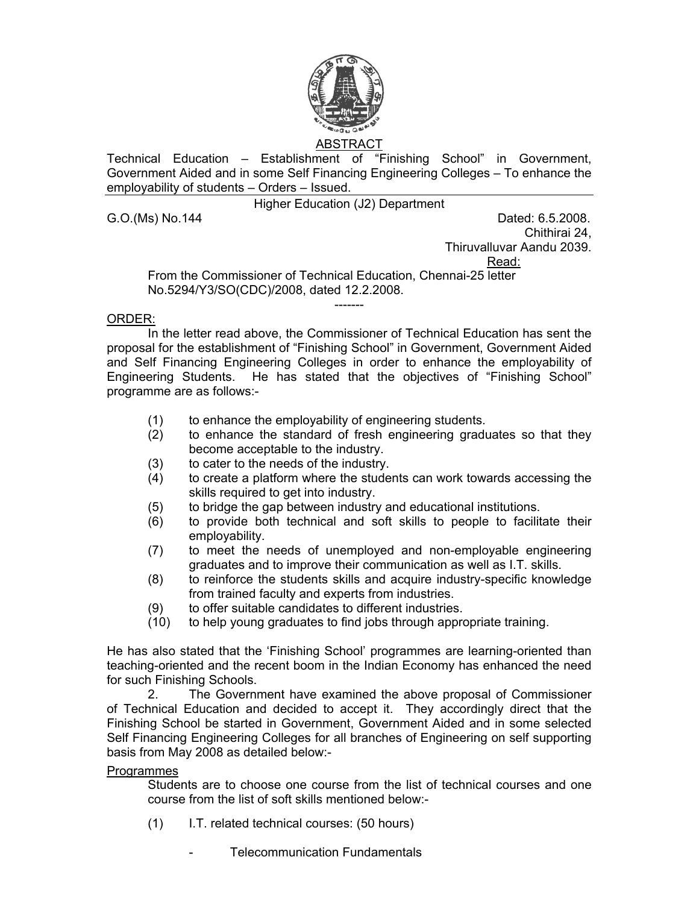

# ABSTRACT

Technical Education – Establishment of "Finishing School" in Government, Government Aided and in some Self Financing Engineering Colleges – To enhance the employability of students – Orders – Issued.

Higher Education (J2) Department

G.O.(Ms) No.144 **Dated: 6.5.2008.** 

Chithirai 24,

Thiruvalluvar Aandu 2039.

Read:

From the Commissioner of Technical Education, Chennai-25 letter No.5294/Y3/SO(CDC)/2008, dated 12.2.2008.

## ORDER:

In the letter read above, the Commissioner of Technical Education has sent the proposal for the establishment of "Finishing School" in Government, Government Aided and Self Financing Engineering Colleges in order to enhance the employability of Engineering Students. He has stated that the objectives of "Finishing School" programme are as follows:-

-------

- (1) to enhance the employability of engineering students.
- (2) to enhance the standard of fresh engineering graduates so that they become acceptable to the industry.
- (3) to cater to the needs of the industry.
- (4) to create a platform where the students can work towards accessing the skills required to get into industry.
- (5) to bridge the gap between industry and educational institutions.
- (6) to provide both technical and soft skills to people to facilitate their employability.
- (7) to meet the needs of unemployed and non-employable engineering graduates and to improve their communication as well as I.T. skills.
- (8) to reinforce the students skills and acquire industry-specific knowledge from trained faculty and experts from industries.
- (9) to offer suitable candidates to different industries.
- (10) to help young graduates to find jobs through appropriate training.

He has also stated that the 'Finishing School' programmes are learning-oriented than teaching-oriented and the recent boom in the Indian Economy has enhanced the need for such Finishing Schools.

2. The Government have examined the above proposal of Commissioner of Technical Education and decided to accept it. They accordingly direct that the Finishing School be started in Government, Government Aided and in some selected Self Financing Engineering Colleges for all branches of Engineering on self supporting basis from May 2008 as detailed below:-

### Programmes

Students are to choose one course from the list of technical courses and one course from the list of soft skills mentioned below:-

- (1) I.T. related technical courses: (50 hours)
	- Telecommunication Fundamentals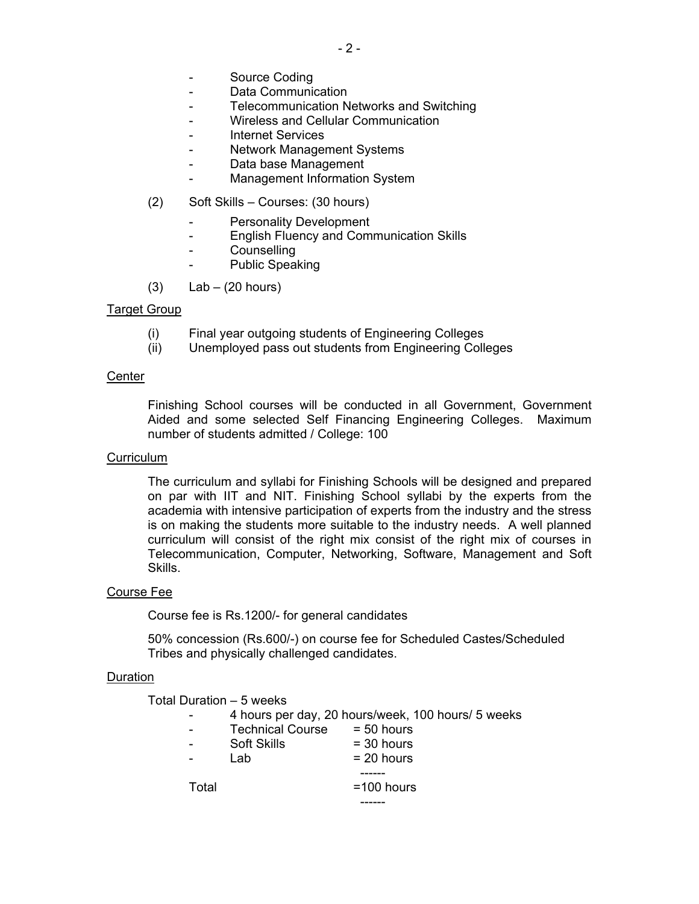- Source Coding
- Data Communication
- Telecommunication Networks and Switching
- Wireless and Cellular Communication
- Internet Services
- Network Management Systems
- Data base Management
- Management Information System
- (2) Soft Skills Courses: (30 hours)
	- Personality Development
	- English Fluency and Communication Skills
	- **Counselling**
	- Public Speaking
- $(3)$  Lab  $(20 \text{ hours})$

## Target Group

- (i) Final year outgoing students of Engineering Colleges
- (ii) Unemployed pass out students from Engineering Colleges

### **Center**

 Finishing School courses will be conducted in all Government, Government Aided and some selected Self Financing Engineering Colleges. Maximum number of students admitted / College: 100

### **Curriculum**

 The curriculum and syllabi for Finishing Schools will be designed and prepared on par with IIT and NIT. Finishing School syllabi by the experts from the academia with intensive participation of experts from the industry and the stress is on making the students more suitable to the industry needs. A well planned curriculum will consist of the right mix consist of the right mix of courses in Telecommunication, Computer, Networking, Software, Management and Soft Skills.

### Course Fee

Course fee is Rs.1200/- for general candidates

 50% concession (Rs.600/-) on course fee for Scheduled Castes/Scheduled Tribes and physically challenged candidates.

### Duration

Total Duration – 5 weeks

------

- 4 hours per day, 20 hours/week, 100 hours/ 5 weeks

|       | $\frac{1}{2}$ . Hours por day, Lo Hours woon, 100 |              |
|-------|---------------------------------------------------|--------------|
|       | <b>Technical Course</b>                           | $= 50$ hours |
|       | <b>Soft Skills</b>                                | $=$ 30 hours |
|       | Lab                                               | $= 20$ hours |
|       |                                                   |              |
| Total |                                                   | $=100$ hours |